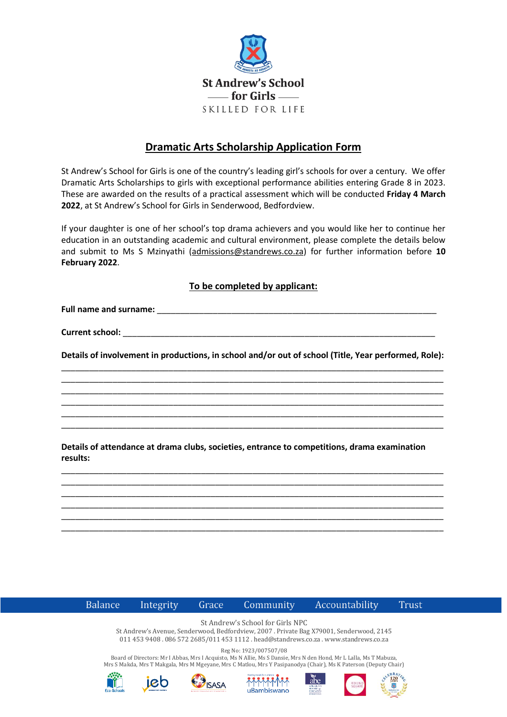

## **Dramatic Arts Scholarship Application Form**

St Andrew's School for Girls is one of the country's leading girl's schools for over a century. We offer Dramatic Arts Scholarships to girls with exceptional performance abilities entering Grade 8 in 2023. These are awarded on the results of a practical assessment which will be conducted **Friday 4 March 2022**, at St Andrew's School for Girls in Senderwood, Bedfordview.

If your daughter is one of her school's top drama achievers and you would like her to continue her education in an outstanding academic and cultural environment, please complete the details below and submit to Ms S Mzinyathi [\(admissions@standrews.co.za\)](mailto:admissions@standrews.co.za) for further information before **10 February 2022**.

## **To be completed by applicant:**

Full name and surname: **We are all that the surface of the surface of the surface of the surface of the surface of the surface of the surface of the surface of the surface of the surface of the surface of the surface of th** 

Current school:

**Details of involvement in productions, in school and/or out of school (Title, Year performed, Role):** \_\_\_\_\_\_\_\_\_\_\_\_\_\_\_\_\_\_\_\_\_\_\_\_\_\_\_\_\_\_\_\_\_\_\_\_\_\_\_\_\_\_\_\_\_\_\_\_\_\_\_\_\_\_\_\_\_\_\_\_\_\_\_\_\_\_\_\_\_\_\_\_\_\_\_\_\_\_\_\_\_\_

\_\_\_\_\_\_\_\_\_\_\_\_\_\_\_\_\_\_\_\_\_\_\_\_\_\_\_\_\_\_\_\_\_\_\_\_\_\_\_\_\_\_\_\_\_\_\_\_\_\_\_\_\_\_\_\_\_\_\_\_\_\_\_\_\_\_\_\_\_\_\_\_\_\_\_\_\_\_\_\_\_\_ \_\_\_\_\_\_\_\_\_\_\_\_\_\_\_\_\_\_\_\_\_\_\_\_\_\_\_\_\_\_\_\_\_\_\_\_\_\_\_\_\_\_\_\_\_\_\_\_\_\_\_\_\_\_\_\_\_\_\_\_\_\_\_\_\_\_\_\_\_\_\_\_\_\_\_\_\_\_\_\_\_\_ \_\_\_\_\_\_\_\_\_\_\_\_\_\_\_\_\_\_\_\_\_\_\_\_\_\_\_\_\_\_\_\_\_\_\_\_\_\_\_\_\_\_\_\_\_\_\_\_\_\_\_\_\_\_\_\_\_\_\_\_\_\_\_\_\_\_\_\_\_\_\_\_\_\_\_\_\_\_\_\_\_\_ \_\_\_\_\_\_\_\_\_\_\_\_\_\_\_\_\_\_\_\_\_\_\_\_\_\_\_\_\_\_\_\_\_\_\_\_\_\_\_\_\_\_\_\_\_\_\_\_\_\_\_\_\_\_\_\_\_\_\_\_\_\_\_\_\_\_\_\_\_\_\_\_\_\_\_\_\_\_\_\_\_\_ \_\_\_\_\_\_\_\_\_\_\_\_\_\_\_\_\_\_\_\_\_\_\_\_\_\_\_\_\_\_\_\_\_\_\_\_\_\_\_\_\_\_\_\_\_\_\_\_\_\_\_\_\_\_\_\_\_\_\_\_\_\_\_\_\_\_\_\_\_\_\_\_\_\_\_\_\_\_\_\_\_\_

**Details of attendance at drama clubs, societies, entrance to competitions, drama examination results:** 

\_\_\_\_\_\_\_\_\_\_\_\_\_\_\_\_\_\_\_\_\_\_\_\_\_\_\_\_\_\_\_\_\_\_\_\_\_\_\_\_\_\_\_\_\_\_\_\_\_\_\_\_\_\_\_\_\_\_\_\_\_\_\_\_\_\_\_\_\_\_\_\_\_\_\_\_\_\_\_\_\_\_ \_\_\_\_\_\_\_\_\_\_\_\_\_\_\_\_\_\_\_\_\_\_\_\_\_\_\_\_\_\_\_\_\_\_\_\_\_\_\_\_\_\_\_\_\_\_\_\_\_\_\_\_\_\_\_\_\_\_\_\_\_\_\_\_\_\_\_\_\_\_\_\_\_\_\_\_\_\_\_\_\_\_ \_\_\_\_\_\_\_\_\_\_\_\_\_\_\_\_\_\_\_\_\_\_\_\_\_\_\_\_\_\_\_\_\_\_\_\_\_\_\_\_\_\_\_\_\_\_\_\_\_\_\_\_\_\_\_\_\_\_\_\_\_\_\_\_\_\_\_\_\_\_\_\_\_\_\_\_\_\_\_\_\_\_ \_\_\_\_\_\_\_\_\_\_\_\_\_\_\_\_\_\_\_\_\_\_\_\_\_\_\_\_\_\_\_\_\_\_\_\_\_\_\_\_\_\_\_\_\_\_\_\_\_\_\_\_\_\_\_\_\_\_\_\_\_\_\_\_\_\_\_\_\_\_\_\_\_\_\_\_\_\_\_\_\_\_ \_\_\_\_\_\_\_\_\_\_\_\_\_\_\_\_\_\_\_\_\_\_\_\_\_\_\_\_\_\_\_\_\_\_\_\_\_\_\_\_\_\_\_\_\_\_\_\_\_\_\_\_\_\_\_\_\_\_\_\_\_\_\_\_\_\_\_\_\_\_\_\_\_\_\_\_\_\_\_\_\_\_ \_\_\_\_\_\_\_\_\_\_\_\_\_\_\_\_\_\_\_\_\_\_\_\_\_\_\_\_\_\_\_\_\_\_\_\_\_\_\_\_\_\_\_\_\_\_\_\_\_\_\_\_\_\_\_\_\_\_\_\_\_\_\_\_\_\_\_\_\_\_\_\_\_\_\_\_\_\_\_\_\_\_



Integrity

Grace

**ISASA** 

Community

Accountability

**Trust** 

St Andrew's School for Girls NPC

St Andrew's Avenue, Senderwood, Bedfordview, 2007 . Private Bag X79001, Senderwood, 2145 011 453 9408 . 086 572 2685/011 453 1112 . head@standrews.co.za . www.standrews.co.za

Reg No: 1923/007507/08

Board of Directors: Mr I Abbas, Mrs I Acquisto, Ms N Allie, Ms S Dansie, Mrs N den Hond, Mr L Lalla, Ms T Mabuza, Mrs S Makda, Mrs T Makgala, Mrs M Mgeyane, Mrs C Matlou, Mrs Y Pasipanodya (Chair), Ms K Paterson (Deputy Chair)